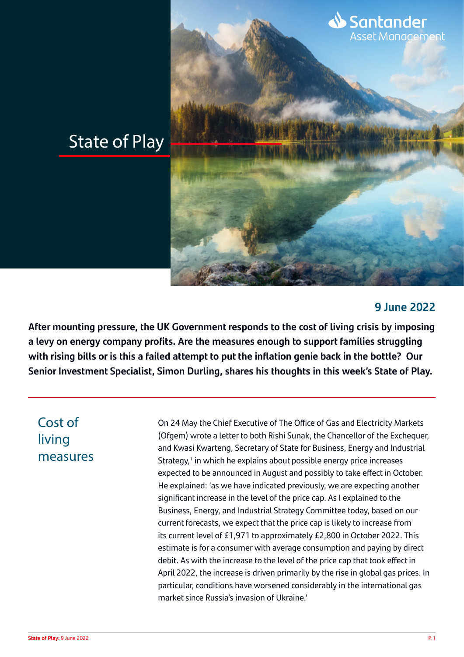# State of Play

#### **9 June 2022**

Santander

<u>s arrearra.cr</u><br>Asset Management

**After mounting pressure, the UK Government responds to the cost of living crisis by imposing a levy on energy company profits. Are the measures enough to support families struggling with rising bills or is this a failed attempt to put the inflation genie back in the bottle? Our Senior Investment Specialist, Simon Durling, shares his thoughts in this week's State of Play.**

## Cost of living measures

On 24 May the Chief Executive of The Office of Gas and Electricity Markets (Ofgem) wrote a letter to both Rishi Sunak, the Chancellor of the Exchequer, and Kwasi Kwarteng, Secretary of State for Business, Energy and Industrial Strategy,<sup>1</sup> in which he explains about possible energy price increases expected to be announced in August and possibly to take effect in October. He explained: 'as we have indicated previously, we are expecting another significant increase in the level of the price cap. As I explained to the Business, Energy, and Industrial Strategy Committee today, based on our current forecasts, we expect that the price cap is likely to increase from its current level of £1,971 to approximately £2,800 in October 2022. This estimate is for a consumer with average consumption and paying by direct debit. As with the increase to the level of the price cap that took effect in April 2022, the increase is driven primarily by the rise in global gas prices. In particular, conditions have worsened considerably in the international gas market since Russia's invasion of Ukraine.'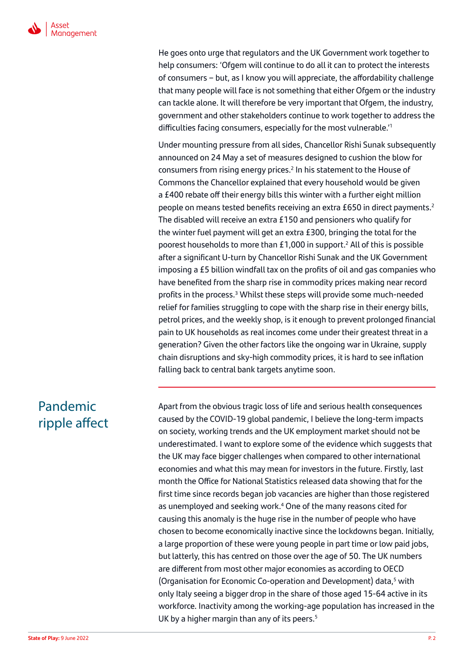

He goes onto urge that regulators and the UK Government work together to help consumers: 'Ofgem will continue to do all it can to protect the interests of consumers – but, as I know you will appreciate, the affordability challenge that many people will face is not something that either Ofgem or the industry can tackle alone. It will therefore be very important that Ofgem, the industry, government and other stakeholders continue to work together to address the difficulties facing consumers, especially for the most vulnerable.'<sup>1</sup>

Under mounting pressure from all sides, Chancellor Rishi Sunak subsequently announced on 24 May a set of measures designed to cushion the blow for consumers from rising energy prices.<sup>2</sup> In his statement to the House of Commons the Chancellor explained that every household would be given a £400 rebate off their energy bills this winter with a further eight million people on means tested benefits receiving an extra £650 in direct payments.<sup>2</sup> The disabled will receive an extra £150 and pensioners who qualify for the winter fuel payment will get an extra £300, bringing the total for the poorest households to more than £1,000 in support.<sup>2</sup> All of this is possible after a significant U-turn by Chancellor Rishi Sunak and the UK Government imposing a £5 billion windfall tax on the profits of oil and gas companies who have benefited from the sharp rise in commodity prices making near record profits in the process.<sup>3</sup> Whilst these steps will provide some much-needed relief for families struggling to cope with the sharp rise in their energy bills, petrol prices, and the weekly shop, is it enough to prevent prolonged financial pain to UK households as real incomes come under their greatest threat in a generation? Given the other factors like the ongoing war in Ukraine, supply chain disruptions and sky-high commodity prices, it is hard to see inflation falling back to central bank targets anytime soon.

## Pandemic ripple affect

Apart from the obvious tragic loss of life and serious health consequences caused by the COVID-19 global pandemic, I believe the long-term impacts on society, working trends and the UK employment market should not be underestimated. I want to explore some of the evidence which suggests that the UK may face bigger challenges when compared to other international economies and what this may mean for investors in the future. Firstly, last month the Office for National Statistics released data showing that for the first time since records began job vacancies are higher than those registered as unemployed and seeking work.<sup>4</sup> One of the many reasons cited for causing this anomaly is the huge rise in the number of people who have chosen to become economically inactive since the lockdowns began. Initially, a large proportion of these were young people in part time or low paid jobs, but latterly, this has centred on those over the age of 50. The UK numbers are different from most other major economies as according to OECD (Organisation for Economic Co-operation and Development) data,<sup>5</sup> with only Italy seeing a bigger drop in the share of those aged 15-64 active in its workforce. Inactivity among the working-age population has increased in the UK by a higher margin than any of its peers. $5$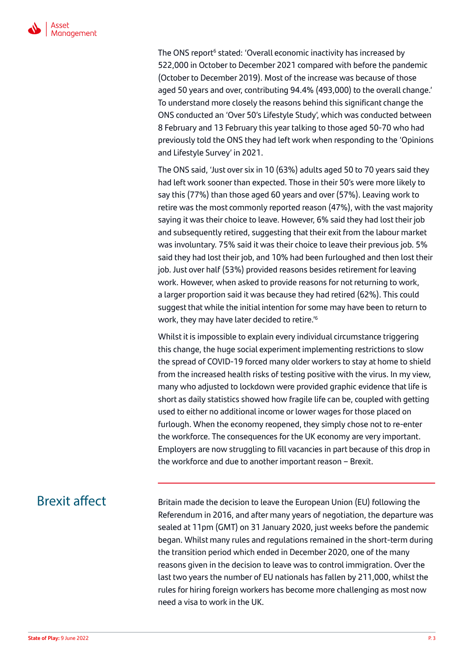

The ONS report<sup>6</sup> stated: 'Overall economic inactivity has increased by 522,000 in October to December 2021 compared with before the pandemic (October to December 2019). Most of the increase was because of those aged 50 years and over, contributing 94.4% (493,000) to the overall change.' To understand more closely the reasons behind this significant change the ONS conducted an 'Over 50's Lifestyle Study', which was conducted between 8 February and 13 February this year talking to those aged 50-70 who had previously told the ONS they had left work when responding to the 'Opinions and Lifestyle Survey' in 2021.

The ONS said, 'Just over six in 10 (63%) adults aged 50 to 70 years said they had left work sooner than expected. Those in their 50's were more likely to say this (77%) than those aged 60 years and over (57%). Leaving work to retire was the most commonly reported reason (47%), with the vast majority saying it was their choice to leave. However, 6% said they had lost their job and subsequently retired, suggesting that their exit from the labour market was involuntary. 75% said it was their choice to leave their previous job. 5% said they had lost their job, and 10% had been furloughed and then lost their job. Just over half (53%) provided reasons besides retirement for leaving work. However, when asked to provide reasons for not returning to work, a larger proportion said it was because they had retired (62%). This could suggest that while the initial intention for some may have been to return to work, they may have later decided to retire.'6

Whilst it is impossible to explain every individual circumstance triggering this change, the huge social experiment implementing restrictions to slow the spread of COVID-19 forced many older workers to stay at home to shield from the increased health risks of testing positive with the virus. In my view, many who adjusted to lockdown were provided graphic evidence that life is short as daily statistics showed how fragile life can be, coupled with getting used to either no additional income or lower wages for those placed on furlough. When the economy reopened, they simply chose not to re-enter the workforce. The consequences for the UK economy are very important. Employers are now struggling to fill vacancies in part because of this drop in the workforce and due to another important reason – Brexit.

### Brexit affect

Britain made the decision to leave the European Union (EU) following the Referendum in 2016, and after many years of negotiation, the departure was sealed at 11pm (GMT) on 31 January 2020, just weeks before the pandemic began. Whilst many rules and regulations remained in the short-term during the transition period which ended in December 2020, one of the many reasons given in the decision to leave was to control immigration. Over the last two years the number of EU nationals has fallen by 211,000, whilst the rules for hiring foreign workers has become more challenging as most now need a visa to work in the UK.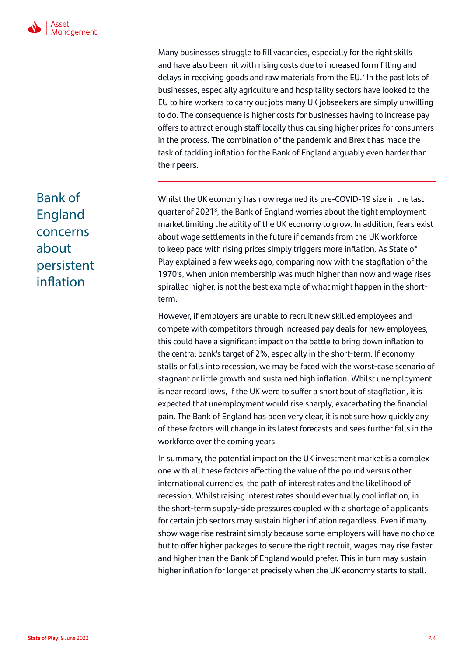Many businesses struggle to fill vacancies, especially for the right skills and have also been hit with rising costs due to increased form filling and delays in receiving goods and raw materials from the EU.7 In the past lots of businesses, especially agriculture and hospitality sectors have looked to the EU to hire workers to carry out jobs many UK jobseekers are simply unwilling to do. The consequence is higher costs for businesses having to increase pay offers to attract enough staff locally thus causing higher prices for consumers in the process. The combination of the pandemic and Brexit has made the task of tackling inflation for the Bank of England arguably even harder than their peers.

Whilst the UK economy has now regained its pre-COVID-19 size in the last quarter of 2021<sup>8</sup>, the Bank of England worries about the tight employment market limiting the ability of the UK economy to grow. In addition, fears exist about wage settlements in the future if demands from the UK workforce to keep pace with rising prices simply triggers more inflation. As State of Play explained a few weeks ago, comparing now with the stagflation of the 1970's, when union membership was much higher than now and wage rises spiralled higher, is not the best example of what might happen in the shortterm.

However, if employers are unable to recruit new skilled employees and compete with competitors through increased pay deals for new employees, this could have a significant impact on the battle to bring down inflation to the central bank's target of 2%, especially in the short-term. If economy stalls or falls into recession, we may be faced with the worst-case scenario of stagnant or little growth and sustained high inflation. Whilst unemployment is near record lows, if the UK were to suffer a short bout of stagflation, it is expected that unemployment would rise sharply, exacerbating the financial pain. The Bank of England has been very clear, it is not sure how quickly any of these factors will change in its latest forecasts and sees further falls in the workforce over the coming years.

In summary, the potential impact on the UK investment market is a complex one with all these factors affecting the value of the pound versus other international currencies, the path of interest rates and the likelihood of recession. Whilst raising interest rates should eventually cool inflation, in the short-term supply-side pressures coupled with a shortage of applicants for certain job sectors may sustain higher inflation regardless. Even if many show wage rise restraint simply because some employers will have no choice but to offer higher packages to secure the right recruit, wages may rise faster and higher than the Bank of England would prefer. This in turn may sustain higher inflation for longer at precisely when the UK economy starts to stall.

## Bank of England concerns about persistent inflation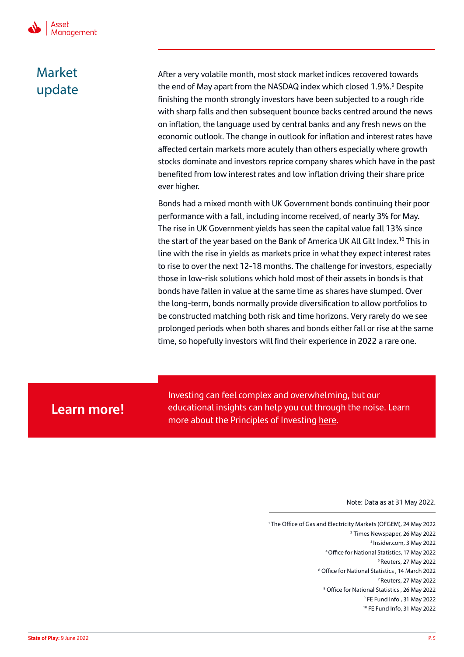Ï

## Market update

After a very volatile month, most stock market indices recovered towards the end of May apart from the NASDAQ index which closed 1.9%.<sup>9</sup> Despite finishing the month strongly investors have been subjected to a rough ride with sharp falls and then subsequent bounce backs centred around the news on inflation, the language used by central banks and any fresh news on the economic outlook. The change in outlook for inflation and interest rates have affected certain markets more acutely than others especially where growth stocks dominate and investors reprice company shares which have in the past benefited from low interest rates and low inflation driving their share price ever higher.

Bonds had a mixed month with UK Government bonds continuing their poor performance with a fall, including income received, of nearly 3% for May. The rise in UK Government yields has seen the capital value fall 13% since the start of the year based on the Bank of America UK All Gilt Index.10 This in line with the rise in yields as markets price in what they expect interest rates to rise to over the next 12-18 months. The challenge for investors, especially those in low-risk solutions which hold most of their assets in bonds is that bonds have fallen in value at the same time as shares have slumped. Over the long-term, bonds normally provide diversification to allow portfolios to be constructed matching both risk and time horizons. Very rarely do we see prolonged periods when both shares and bonds either fall or rise at the same time, so hopefully investors will find their experience in 2022 a rare one.

### **Learn more!**

Investing can feel complex and overwhelming, but our educational insights can help you cut through the noise. Learn more about the Principles of Investing [here.](https://www.santanderassetmanagement.co.uk/retail-investor/markets-insights/principles-of-investing)

Note: Data as at 31 May 2022.

1 The Office of Gas and Electricity Markets (OFGEM), 24 May 2022 2 Times Newspaper, 26 May 2022 3 Insider.com, 3 May 2022 4 Office for National Statistics, 17 May 2022 5 Reuters, 27 May 2022 6 Office for National Statistics , 14 March 2022 7 Reuters, 27 May 2022 8 Office for National Statistics , 26 May 2022 9 FE Fund Info , 31 May 2022 10 FE Fund Info, 31 May 2022